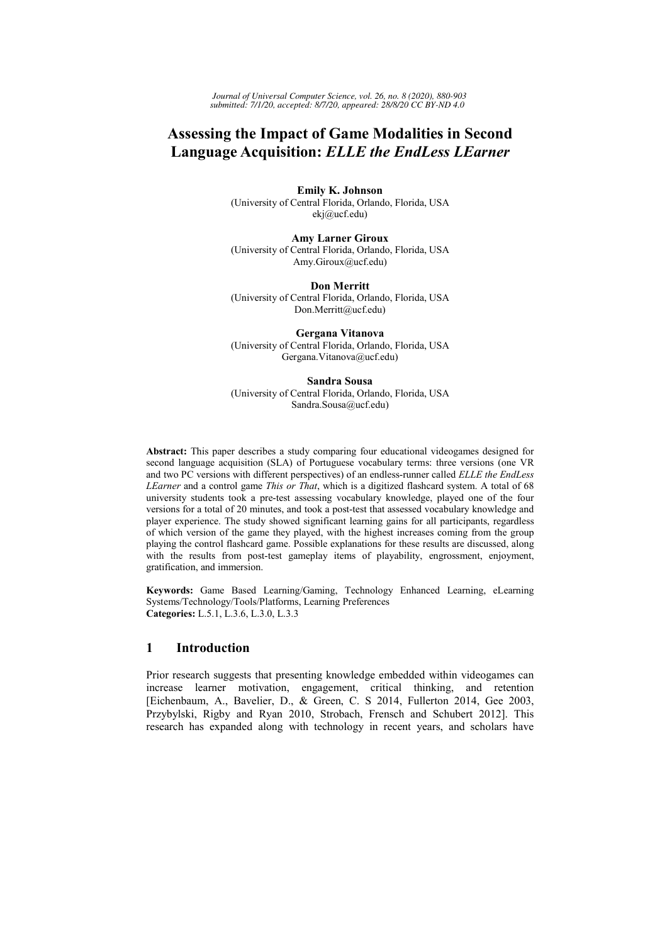Journal of Universal Computer Science, vol. 26, no. 8 (2020), 880-903 submitted: 7/1/20, accepted: 8/7/20, appeared: 28/8/20 CC BY-ND 4.0

# **Assessing the Impact of Game Modalities in Second Language Acquisition: ELLE the EndLess LEarner**

**Emily K. Johnson** (University of Central Florida, Orlando, Florida, USA ekj@ucf.edu)

**Amy Larner Giroux** (University of Central Florida, Orlando, Florida, USA Amy.Giroux@ucf.edu)

**Don Merritt** (University of Central Florida, Orlando, Florida, USA Don.Merritt@ucf.edu)

Gergana Vitanova (University of Central Florida, Orlando, Florida, USA Gergana. Vitanova@ucf.edu)

**Sandra Sousa** (University of Central Florida, Orlando, Florida, USA Sandra.Sousa@ucf.edu)

Abstract: This paper describes a study comparing four educational videogames designed for second language acquisition (SLA) of Portuguese vocabulary terms: three versions (one VR and two PC versions with different perspectives) of an endless-runner called ELLE the EndLess LEarner and a control game This or That, which is a digitized flashcard system. A total of 68 university students took a pre-test assessing vocabulary knowledge, played one of the four versions for a total of 20 minutes, and took a post-test that assessed vocabulary knowledge and player experience. The study showed significant learning gains for all participants, regardless of which version of the game they played, with the highest increases coming from the group playing the control flashcard game. Possible explanations for these results are discussed, along with the results from post-test gameplay items of playability, engrossment, enjoyment, gratification, and immersion.

Keywords: Game Based Learning/Gaming, Technology Enhanced Learning, eLearning Systems/Technology/Tools/Platforms, Learning Preferences Categories: L.5.1, L.3.6, L.3.0, L.3.3

#### $\mathbf{1}$ **Introduction**

Prior research suggests that presenting knowledge embedded within videogames can increase learner motivation, engagement, critical thinking, and retention [Eichenbaum, A., Bavelier, D., & Green, C. S 2014, Fullerton 2014, Gee 2003, Przybylski, Rigby and Ryan 2010, Strobach, Frensch and Schubert 2012]. This research has expanded along with technology in recent years, and scholars have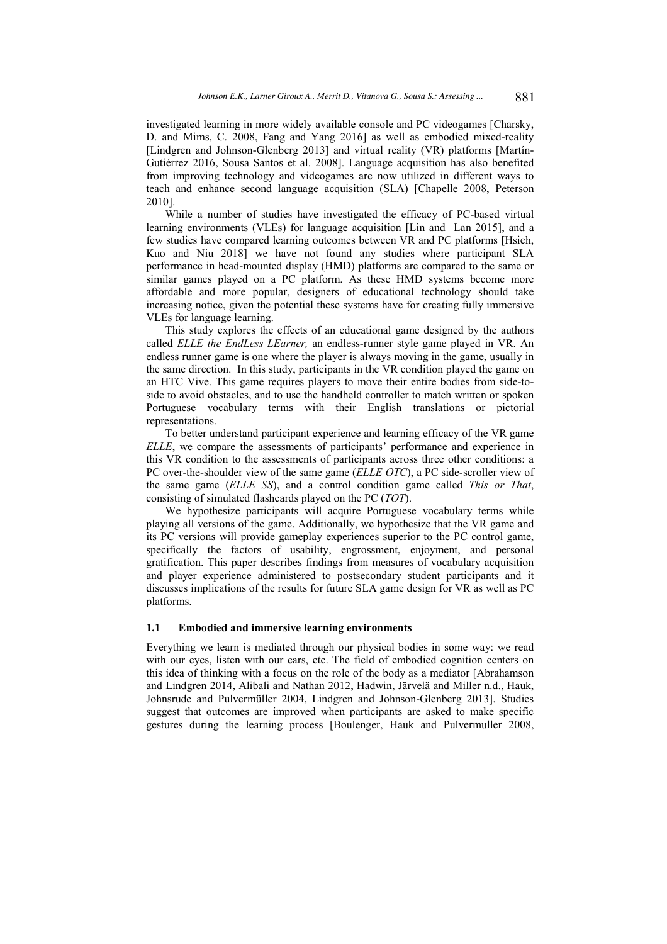investigated learning in more widely available console and PC videogames [Charsky, D. and Mims, C. 2008, Fang and Yang 2016] as well as embodied mixed-reality [Lindgren and Johnson-Glenberg 2013] and virtual reality (VR) platforms [Martín-Gutiérrez 2016, Sousa Santos et al. 2008]. Language acquisition has also benefited from improving technology and videogames are now utilized in different ways to teach and enhance second language acquisition (SLA) [Chapelle 2008, Peterson 2010].

While a number of studies have investigated the efficacy of PC-based virtual learning environments (VLEs) for language acquisition [Lin and Lan 2015], and a few studies have compared learning outcomes between VR and PC platforms [Hsieh, Kuo and Niu 2018] we have not found any studies where participant SLA performance in head-mounted display (HMD) platforms are compared to the same or similar games played on a PC platform. As these HMD systems become more affordable and more popular, designers of educational technology should take increasing notice, given the potential these systems have for creating fully immersive VLEs for language learning.

This study explores the effects of an educational game designed by the authors called ELLE the EndLess LEarner, an endless-runner style game played in VR. An endless runner game is one where the player is always moving in the game, usually in the same direction. In this study, participants in the VR condition played the game on an HTC Vive. This game requires players to move their entire bodies from side-toside to avoid obstacles, and to use the handheld controller to match written or spoken Portuguese vocabulary terms with their English translations or pictorial representations.

To better understand participant experience and learning efficacy of the VR game ELLE, we compare the assessments of participants' performance and experience in this VR condition to the assessments of participants across three other conditions: a PC over-the-shoulder view of the same game (ELLE OTC), a PC side-scroller view of the same game (ELLE SS), and a control condition game called This or That, consisting of simulated flashcards played on the PC  $(TOT)$ .

We hypothesize participants will acquire Portuguese vocabulary terms while playing all versions of the game. Additionally, we hypothesize that the VR game and its PC versions will provide gameplay experiences superior to the PC control game, specifically the factors of usability, engrossment, enjoyment, and personal gratification. This paper describes findings from measures of vocabulary acquisition and player experience administered to postsecondary student participants and it discusses implications of the results for future SLA game design for VR as well as PC platforms.

### 1.1 Embodied and immersive learning environments

Everything we learn is mediated through our physical bodies in some way: we read with our eyes, listen with our ears, etc. The field of embodied cognition centers on this idea of thinking with a focus on the role of the body as a mediator [Abrahamson and Lindgren 2014, Alibali and Nathan 2012, Hadwin, Järvelä and Miller n.d., Hauk. Johnsrude and Pulvermüller 2004, Lindgren and Johnson-Glenberg 2013]. Studies suggest that outcomes are improved when participants are asked to make specific gestures during the learning process [Boulenger, Hauk and Pulvermuller 2008,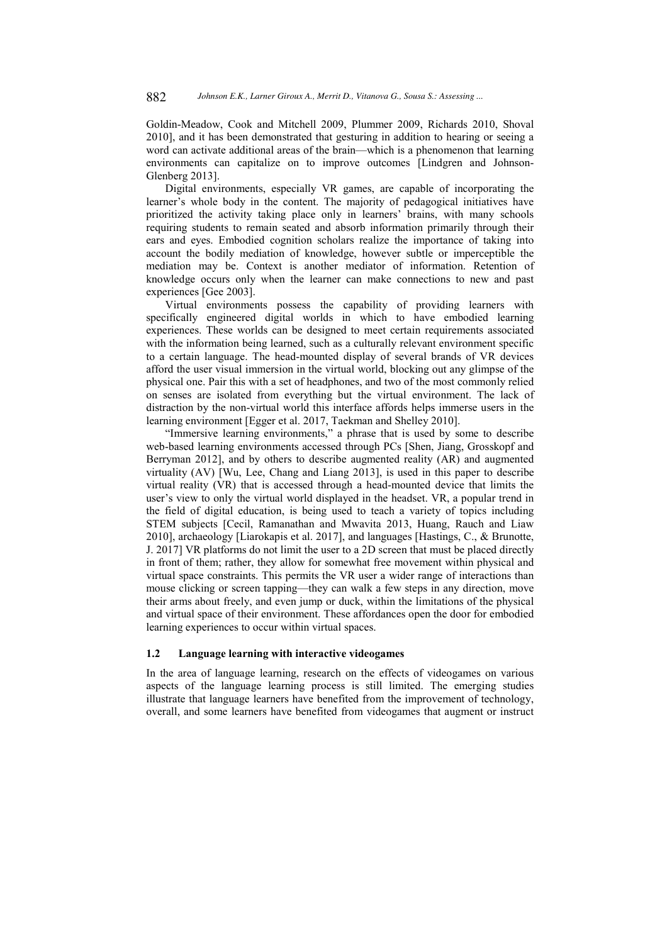Goldin-Meadow, Cook and Mitchell 2009, Plummer 2009, Richards 2010, Shoval 2010], and it has been demonstrated that gesturing in addition to hearing or seeing a word can activate additional areas of the brain—which is a phenomenon that learning environments can capitalize on to improve outcomes [Lindgren and Johnson-Glenberg 2013].

Digital environments, especially VR games, are capable of incorporating the learner's whole body in the content. The majority of pedagogical initiatives have prioritized the activity taking place only in learners' brains, with many schools requiring students to remain seated and absorb information primarily through their ears and eyes. Embodied cognition scholars realize the importance of taking into account the bodily mediation of knowledge, however subtle or imperceptible the mediation may be. Context is another mediator of information. Retention of knowledge occurs only when the learner can make connections to new and past experiences [Gee 2003].

Virtual environments possess the capability of providing learners with specifically engineered digital worlds in which to have embodied learning experiences. These worlds can be designed to meet certain requirements associated with the information being learned, such as a culturally relevant environment specific to a certain language. The head-mounted display of several brands of VR devices afford the user visual immersion in the virtual world, blocking out any glimpse of the physical one. Pair this with a set of headphones, and two of the most commonly relied on senses are isolated from everything but the virtual environment. The lack of distraction by the non-virtual world this interface affords helps immerse users in the learning environment [Egger et al. 2017, Taekman and Shelley 2010].

"Immersive learning environments," a phrase that is used by some to describe web-based learning environments accessed through PCs [Shen, Jiang, Grosskopf and Berryman 2012], and by others to describe augmented reality  $(AR)$  and augmented virtuality  $(AV)$  [Wu, Lee, Chang and Liang 2013], is used in this paper to describe  $vir$ tual reality (VR) that is accessed through a head-mounted device that limits the user's view to only the virtual world displayed in the headset. VR, a popular trend in the field of digital education, is being used to teach a variety of topics including STEM subjects [Cecil, Ramanathan and Mwavita 2013, Huang, Rauch and Liaw 2010], archaeology [Liarokapis et al. 2017], and languages [Hastings, C., & Brunotte, J. 2017] VR platforms do not limit the user to a 2D screen that must be placed directly in front of them; rather, they allow for somewhat free movement within physical and virtual space constraints. This permits the VR user a wider range of interactions than mouse clicking or screen tapping—they can walk a few steps in any direction, move their arms about freely, and even jump or duck, within the limitations of the physical and virtual space of their environment. These affordances open the door for embodied learning experiences to occur within virtual spaces.

### 1.2 Language learning with interactive videogames

In the area of language learning, research on the effects of videogames on various aspects of the language learning process is still limited. The emerging studies illustrate that language learners have benefited from the improvement of technology, overall, and some learners have benefited from videogames that augment or instruct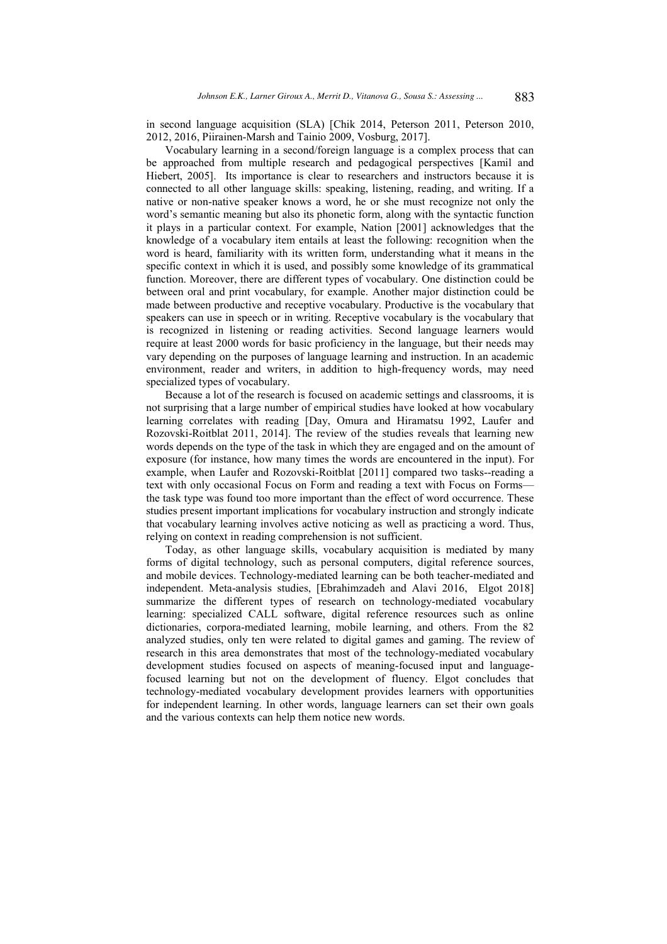in second language acquisition (SLA) [Chik 2014, Peterson 2011, Peterson 2010, 2012, 2016, Piirainen-Marsh and Tainio 2009, Vosburg, 2017].

Vocabulary learning in a second/foreign language is a complex process that can be approached from multiple research and pedagogical perspectives [Kamil and Hiebert, 2005]. Its importance is clear to researchers and instructors because it is connected to all other language skills: speaking, listening, reading, and writing. If a native or non-native speaker knows a word, he or she must recognize not only the word's semantic meaning but also its phonetic form, along with the syntactic function it plays in a particular context. For example, Nation [2001] acknowledges that the knowledge of a vocabulary item entails at least the following: recognition when the word is heard, familiarity with its written form, understanding what it means in the specific context in which it is used, and possibly some knowledge of its grammatical function. Moreover, there are different types of vocabulary. One distinction could be between oral and print vocabulary, for example. Another major distinction could be made between productive and receptive vocabulary. Productive is the vocabulary that speakers can use in speech or in writing. Receptive vocabulary is the vocabulary that is recognized in listening or reading activities. Second language learners would require at least 2000 words for basic proficiency in the language, but their needs may vary depending on the purposes of language learning and instruction. In an academic environment, reader and writers, in addition to high-frequency words, may need specialized types of vocabulary.

Because a lot of the research is focused on academic settings and classrooms, it is not surprising that a large number of empirical studies have looked at how vocabulary learning correlates with reading [Day, Omura and Hiramatsu 1992, Laufer and Rozovski-Roitblat 2011, 2014]. The review of the studies reveals that learning new words depends on the type of the task in which they are engaged and on the amount of exposure (for instance, how many times the words are encountered in the input). For example, when Laufer and Rozovski-Roitblat [2011] compared two tasks--reading a text with only occasional Focus on Form and reading a text with Focus on Formsthe task type was found too more important than the effect of word occurrence. These studies present important implications for vocabulary instruction and strongly indicate that vocabulary learning involves active noticing as well as practicing a word. Thus, relying on context in reading comprehension is not sufficient.

Today, as other language skills, vocabulary acquisition is mediated by many forms of digital technology, such as personal computers, digital reference sources, and mobile devices. Technology-mediated learning can be both teacher-mediated and independent. Meta-analysis studies, [Ebrahimzadeh and Alavi 2016, Elgot 2018] summarize the different types of research on technology-mediated vocabulary learning: specialized CALL software, digital reference resources such as online dictionaries, corpora-mediated learning, mobile learning, and others. From the 82 analyzed studies, only ten were related to digital games and gaming. The review of research in this area demonstrates that most of the technology-mediated vocabulary development studies focused on aspects of meaning-focused input and languagefocused learning but not on the development of fluency. Elgot concludes that technology-mediated vocabulary development provides learners with opportunities for independent learning. In other words, language learners can set their own goals and the various contexts can help them notice new words.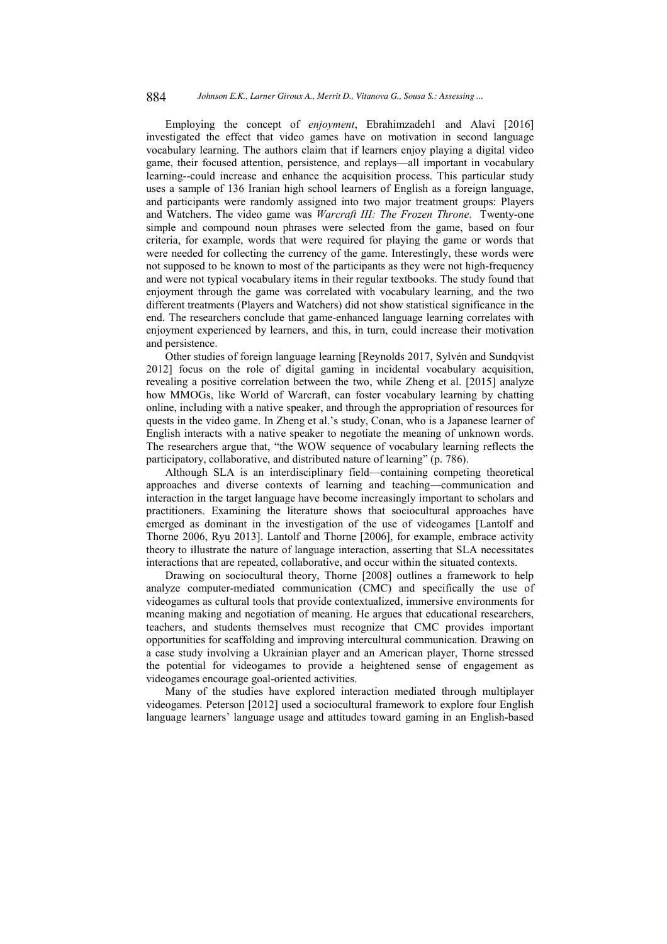Employing the concept of enjoyment, Ebrahimzadeh1 and Alavi [2016] investigated the effect that video games have on motivation in second language vocabulary learning. The authors claim that if learners enjoy playing a digital video game, their focused attention, persistence, and replays—all important in vocabulary learning--could increase and enhance the acquisition process. This particular study uses a sample of 136 Iranian high school learners of English as a foreign language, and participants were randomly assigned into two major treatment groups: Players and Watchers. The video game was Warcraft III: The Frozen Throne. Twenty-one simple and compound noun phrases were selected from the game, based on four criteria, for example, words that were required for playing the game or words that were needed for collecting the currency of the game. Interestingly, these words were not supposed to be known to most of the participants as they were not high-frequency and were not typical vocabulary items in their regular textbooks. The study found that enjoyment through the game was correlated with vocabulary learning, and the two different treatments (Players and Watchers) did not show statistical significance in the end. The researchers conclude that game-enhanced language learning correlates with enjoyment experienced by learners, and this, in turn, could increase their motivation and persistence.

Other studies of foreign language learning [Reynolds 2017, Sylvén and Sundqvist 2012] focus on the role of digital gaming in incidental vocabulary acquisition, revealing a positive correlation between the two, while Zheng et al. [2015] analyze how MMOGs, like World of Warcraft, can foster vocabulary learning by chatting online, including with a native speaker, and through the appropriation of resources for quests in the video game. In Zheng et al.'s study, Conan, who is a Japanese learner of English interacts with a native speaker to negotiate the meaning of unknown words. The researchers argue that, "the WOW sequence of vocabulary learning reflects the participatory, collaborative, and distributed nature of learning" (p. 786).

Although SLA is an interdisciplinary field—containing competing theoretical approaches and diverse contexts of learning and teaching-communication and interaction in the target language have become increasingly important to scholars and practitioners. Examining the literature shows that sociocultural approaches have emerged as dominant in the investigation of the use of videogames [Lantolf and Thorne 2006, Ryu 2013]. Lantolf and Thorne [2006], for example, embrace activity theory to illustrate the nature of language interaction, asserting that SLA necessitates interactions that are repeated, collaborative, and occur within the situated contexts.

Drawing on sociocultural theory, Thorne [2008] outlines a framework to help analyze computer-mediated communication (CMC) and specifically the use of videogames as cultural tools that provide contextualized, immersive environments for meaning making and negotiation of meaning. He argues that educational researchers, teachers, and students themselves must recognize that CMC provides important opportunities for scaffolding and improving intercultural communication. Drawing on a case study involving a Ukrainian player and an American player, Thorne stressed the potential for videogames to provide a heightened sense of engagement as videogames encourage goal-oriented activities.

Many of the studies have explored interaction mediated through multiplayer videogames. Peterson [2012] used a sociocultural framework to explore four English language learners' language usage and attitudes toward gaming in an English-based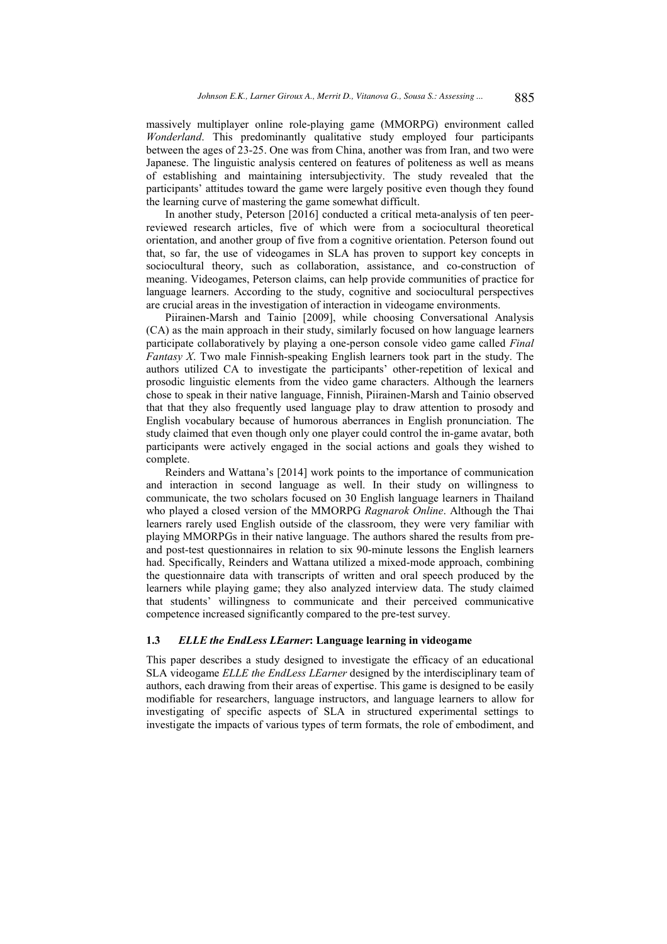massively multiplayer online role-playing game (MMORPG) environment called Wonderland. This predominantly qualitative study employed four participants between the ages of 23-25. One was from China, another was from Iran, and two were Japanese. The linguistic analysis centered on features of politeness as well as means of establishing and maintaining intersubjectivity. The study revealed that the participants' attitudes toward the game were largely positive even though they found the learning curve of mastering the game somewhat difficult.

In another study, Peterson [2016] conducted a critical meta-analysis of ten peerreviewed research articles, five of which were from a sociocultural theoretical orientation, and another group of five from a cognitive orientation. Peterson found out that, so far, the use of videogames in SLA has proven to support key concepts in sociocultural theory, such as collaboration, assistance, and co-construction of meaning. Videogames, Peterson claims, can help provide communities of practice for language learners. According to the study, cognitive and sociocultural perspectives are crucial areas in the investigation of interaction in videogame environments.

Piirainen-Marsh and Tainio [2009], while choosing Conversational Analysis (CA) as the main approach in their study, similarly focused on how language learners participate collaboratively by playing a one-person console video game called *Final* Fantasy X. Two male Finnish-speaking English learners took part in the study. The authors utilized CA to investigate the participants' other-repetition of lexical and prosodic linguistic elements from the video game characters. Although the learners chose to speak in their native language, Finnish, Piirainen-Marsh and Tainio observed that that they also frequently used language play to draw attention to prosody and English vocabulary because of humorous aberrances in English pronunciation. The study claimed that even though only one player could control the in-game avatar, both participants were actively engaged in the social actions and goals they wished to complete.

Reinders and Wattana's [2014] work points to the importance of communication and interaction in second language as well. In their study on willingness to communicate, the two scholars focused on 30 English language learners in Thailand who played a closed version of the MMORPG Ragnarok Online. Although the Thai learners rarely used English outside of the classroom, they were very familiar with playing MMORPGs in their native language. The authors shared the results from preand post-test questionnaires in relation to six 90-minute lessons the English learners had. Specifically, Reinders and Wattana utilized a mixed-mode approach, combining the questionnaire data with transcripts of written and oral speech produced by the learners while playing game; they also analyzed interview data. The study claimed that students' willingness to communicate and their perceived communicative competence increased significantly compared to the pre-test survey.

#### $1.3$ **ELLE** the EndLess LEarner: Language learning in videogame

This paper describes a study designed to investigate the efficacy of an educational SLA videogame ELLE the EndLess LEarner designed by the interdisciplinary team of authors, each drawing from their areas of expertise. This game is designed to be easily modifiable for researchers, language instructors, and language learners to allow for investigating of specific aspects of SLA in structured experimental settings to investigate the impacts of various types of term formats, the role of embodiment, and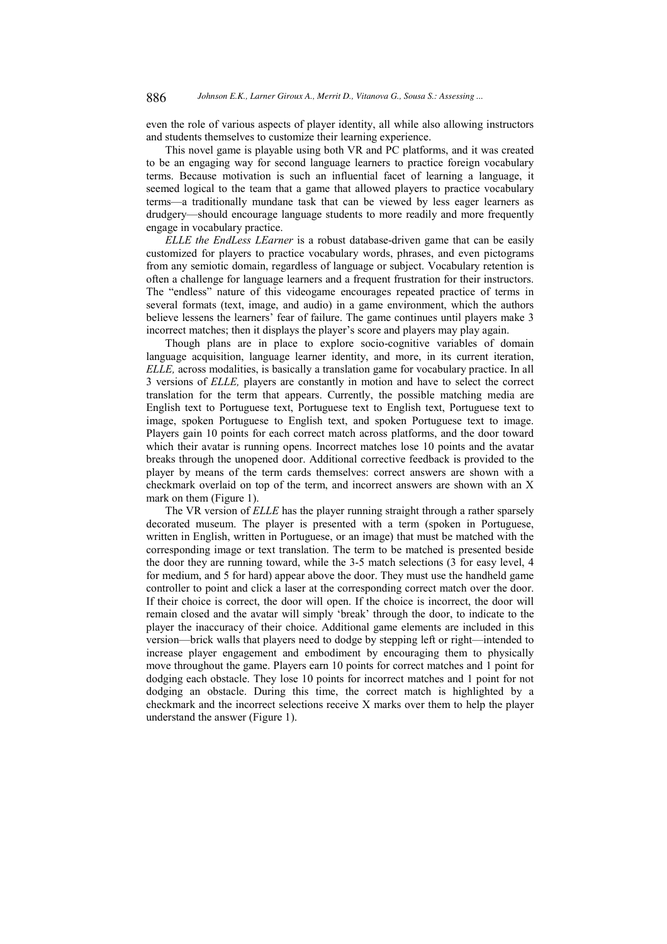even the role of various aspects of player identity, all while also allowing instructors and students themselves to customize their learning experience.

This novel game is playable using both VR and PC platforms, and it was created to be an engaging way for second language learners to practice foreign vocabulary terms. Because motivation is such an influential facet of learning a language, it seemed logical to the team that a game that allowed players to practice vocabulary terms-a traditionally mundane task that can be viewed by less eager learners as drudgery—should encourage language students to more readily and more frequently engage in vocabulary practice.

ELLE the EndLess LEarner is a robust database-driven game that can be easily customized for players to practice vocabulary words, phrases, and even pictograms from any semiotic domain, regardless of language or subject. Vocabulary retention is often a challenge for language learners and a frequent frustration for their instructors. The "endless" nature of this videogame encourages repeated practice of terms in several formats (text, image, and audio) in a game environment, which the authors believe lessens the learners' fear of failure. The game continues until players make 3 incorrect matches; then it displays the player's score and players may play again.

Though plans are in place to explore socio-cognitive variables of domain language acquisition, language learner identity, and more, in its current iteration, ELLE, across modalities, is basically a translation game for vocabulary practice. In all 3 versions of ELLE, players are constantly in motion and have to select the correct translation for the term that appears. Currently, the possible matching media are English text to Portuguese text, Portuguese text to English text, Portuguese text to image, spoken Portuguese to English text, and spoken Portuguese text to image. Players gain 10 points for each correct match across platforms, and the door toward which their avatar is running opens. Incorrect matches lose 10 points and the avatar breaks through the unopened door. Additional corrective feedback is provided to the player by means of the term cards themselves: correct answers are shown with a checkmark overlaid on top of the term, and incorrect answers are shown with an X mark on them (Figure 1).

The VR version of ELLE has the player running straight through a rather sparsely decorated museum. The player is presented with a term (spoken in Portuguese, written in English, written in Portuguese, or an image) that must be matched with the corresponding image or text translation. The term to be matched is presented beside the door they are running toward, while the 3-5 match selections (3 for easy level, 4 for medium, and 5 for hard) appear above the door. They must use the handheld game controller to point and click a laser at the corresponding correct match over the door. If their choice is correct, the door will open. If the choice is incorrect, the door will remain closed and the avatar will simply 'break' through the door, to indicate to the player the inaccuracy of their choice. Additional game elements are included in this version—brick walls that players need to dodge by stepping left or right—intended to increase player engagement and embodiment by encouraging them to physically move throughout the game. Players earn 10 points for correct matches and 1 point for dodging each obstacle. They lose 10 points for incorrect matches and 1 point for not dodging an obstacle. During this time, the correct match is highlighted by a checkmark and the incorrect selections receive X marks over them to help the player understand the answer (Figure 1).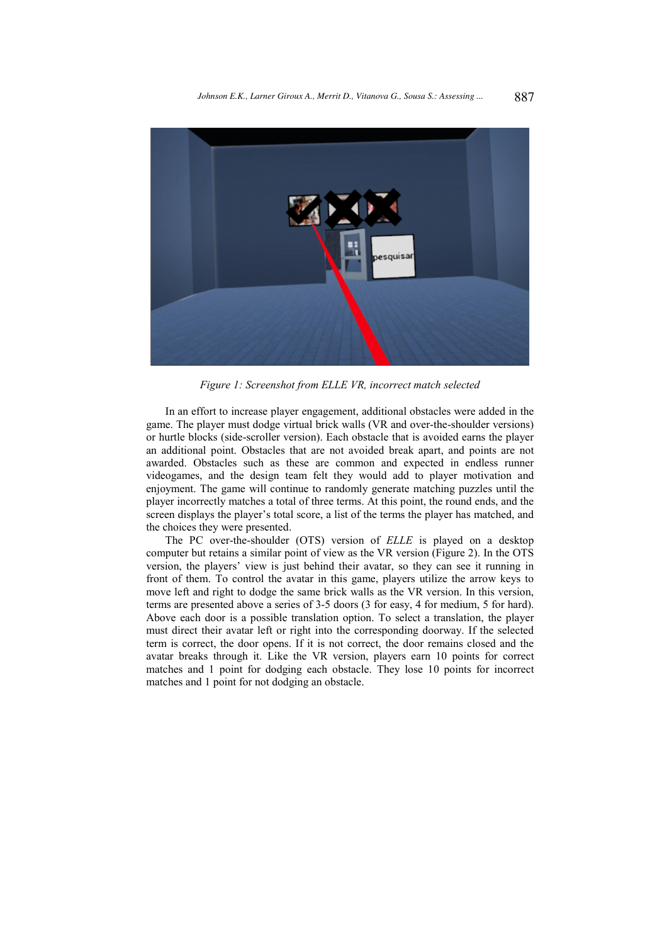

Figure 1: Screenshot from ELLE VR, incorrect match selected

In an effort to increase player engagement, additional obstacles were added in the game. The player must dodge virtual brick walls (VR and over-the-shoulder versions) or hurtle blocks (side-scroller version). Each obstacle that is avoided earns the player an additional point. Obstacles that are not avoided break apart, and points are not awarded. Obstacles such as these are common and expected in endless runner videogames, and the design team felt they would add to player motivation and enjoyment. The game will continue to randomly generate matching puzzles until the player incorrectly matches a total of three terms. At this point, the round ends, and the screen displays the player's total score, a list of the terms the player has matched, and the choices they were presented.

The PC over-the-shoulder (OTS) version of ELLE is played on a desktop computer but retains a similar point of view as the VR version (Figure 2). In the OTS version, the players' view is just behind their avatar, so they can see it running in front of them. To control the avatar in this game, players utilize the arrow keys to move left and right to dodge the same brick walls as the VR version. In this version, terms are presented above a series of 3-5 doors (3 for easy, 4 for medium, 5 for hard). Above each door is a possible translation option. To select a translation, the player must direct their avatar left or right into the corresponding doorway. If the selected term is correct, the door opens. If it is not correct, the door remains closed and the avatar breaks through it. Like the VR version, players earn 10 points for correct matches and 1 point for dodging each obstacle. They lose 10 points for incorrect matches and 1 point for not dodging an obstacle.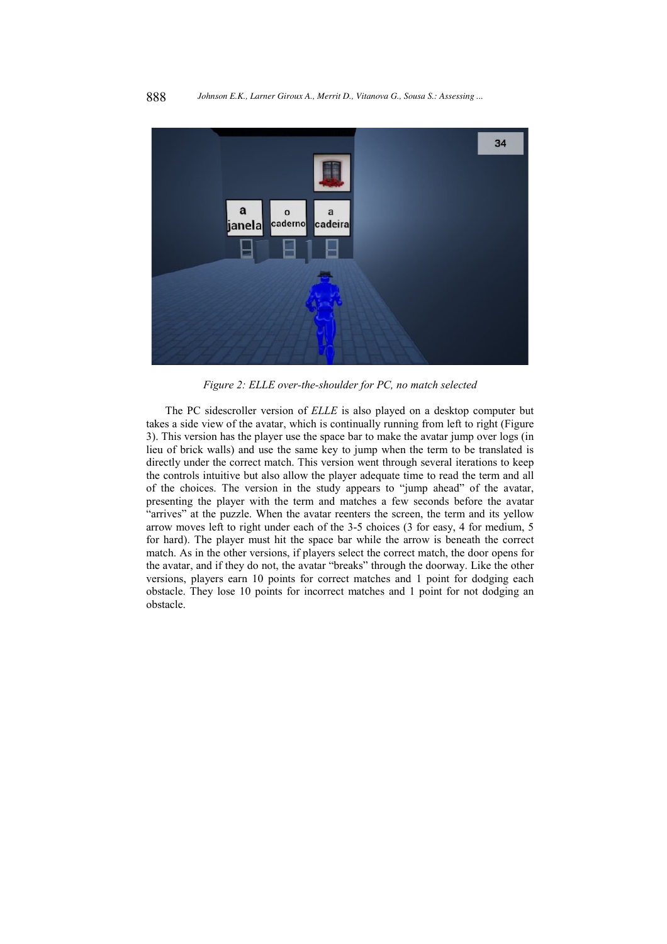

Figure 2: ELLE over-the-shoulder for PC, no match selected

The PC sidescroller version of ELLE is also played on a desktop computer but takes a side view of the avatar, which is continually running from left to right (Figure 3). This version has the player use the space bar to make the avatar jump over logs (in lieu of brick walls) and use the same key to jump when the term to be translated is directly under the correct match. This version went through several iterations to keep the controls intuitive but also allow the player adequate time to read the term and all of the choices. The version in the study appears to "jump ahead" of the avatar, presenting the player with the term and matches a few seconds before the avatar "arrives" at the puzzle. When the avatar reenters the screen, the term and its yellow arrow moves left to right under each of the 3-5 choices (3 for easy, 4 for medium, 5 for hard). The player must hit the space bar while the arrow is beneath the correct match. As in the other versions, if players select the correct match, the door opens for the avatar, and if they do not, the avatar "breaks" through the doorway. Like the other versions, players earn 10 points for correct matches and 1 point for dodging each obstacle. They lose 10 points for incorrect matches and 1 point for not dodging an obstacle.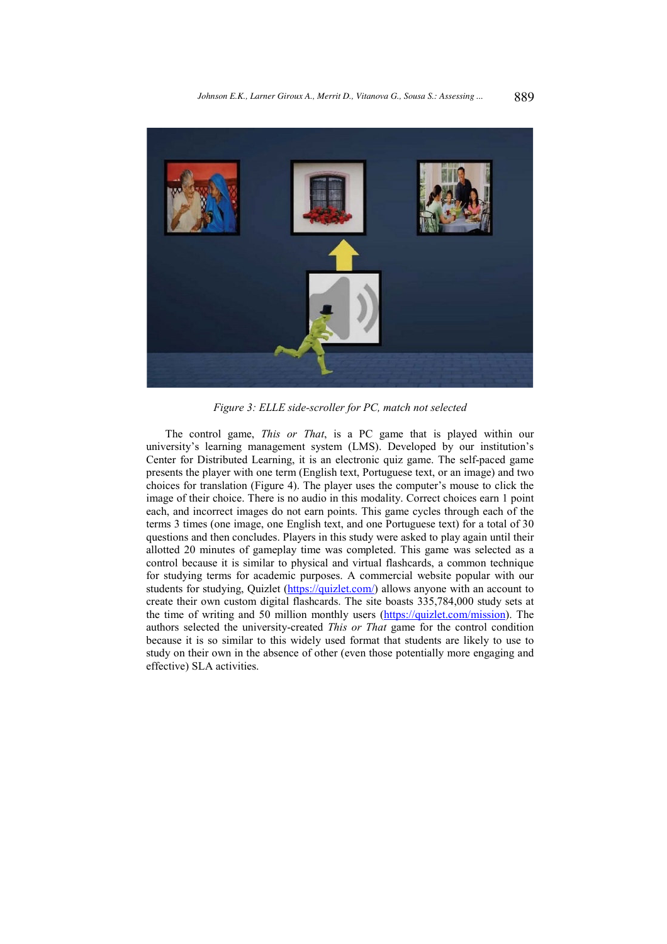

Figure 3: ELLE side-scroller for PC, match not selected

The control game, This or That, is a PC game that is played within our university's learning management system (LMS). Developed by our institution's Center for Distributed Learning, it is an electronic quiz game. The self-paced game presents the player with one term (English text, Portuguese text, or an image) and two choices for translation (Figure 4). The player uses the computer's mouse to click the image of their choice. There is no audio in this modality. Correct choices earn 1 point each, and incorrect images do not earn points. This game cycles through each of the terms 3 times (one image, one English text, and one Portuguese text) for a total of 30 questions and then concludes. Players in this study were asked to play again until their allotted 20 minutes of gameplay time was completed. This game was selected as a control because it is similar to physical and virtual flashcards, a common technique for studying terms for academic purposes. A commercial website popular with our students for studying, Quizlet (https://quizlet.com/) allows anyone with an account to create their own custom digital flashcards. The site boasts 335,784,000 study sets at the time of writing and 50 million monthly users (https://quizlet.com/mission). The authors selected the university-created This or That game for the control condition because it is so similar to this widely used format that students are likely to use to study on their own in the absence of other (even those potentially more engaging and effective) SLA activities.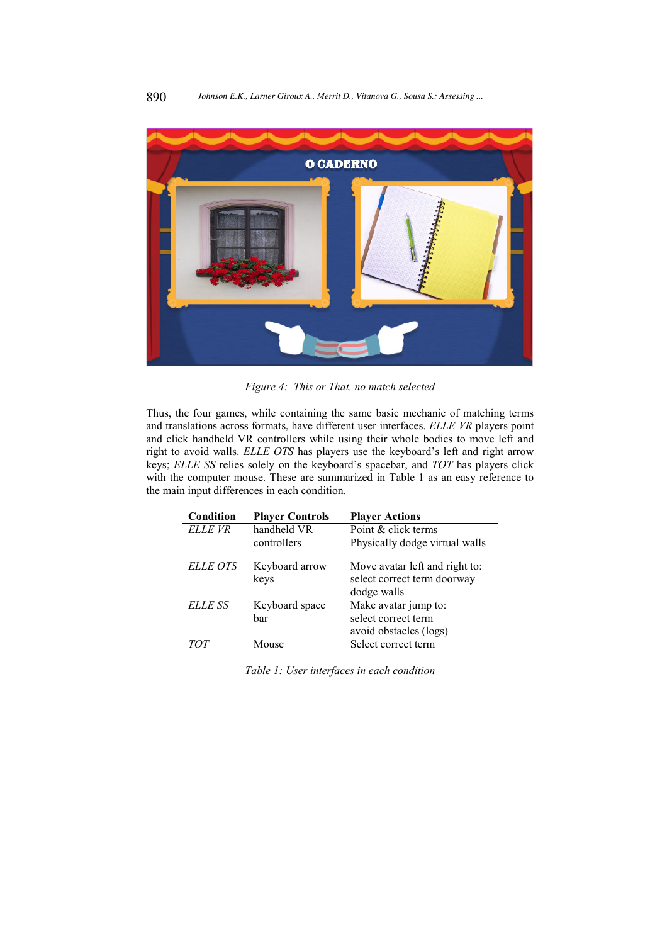

Figure 4: This or That, no match selected

Thus, the four games, while containing the same basic mechanic of matching terms and translations across formats, have different user interfaces. ELLE VR players point and click handheld VR controllers while using their whole bodies to move left and right to avoid walls. ELLE OTS has players use the keyboard's left and right arrow keys; ELLE SS relies solely on the keyboard's spacebar, and TOT has players click with the computer mouse. These are summarized in Table 1 as an easy reference to the main input differences in each condition.

| Condition       | <b>Player Controls</b> | <b>Player Actions</b>                                                        |
|-----------------|------------------------|------------------------------------------------------------------------------|
| ELLE VR         | handheld VR            | Point & click terms                                                          |
|                 | controllers            | Physically dodge virtual walls                                               |
| <b>ELLE OTS</b> | Keyboard arrow<br>keys | Move avatar left and right to:<br>select correct term doorway<br>dodge walls |
| <b>ELLE SS</b>  | Keyboard space         | Make avatar jump to:                                                         |
|                 | bar                    | select correct term                                                          |
|                 |                        | avoid obstacles (logs)                                                       |
| TOT             | Mouse                  | Select correct term                                                          |

Table 1: User interfaces in each condition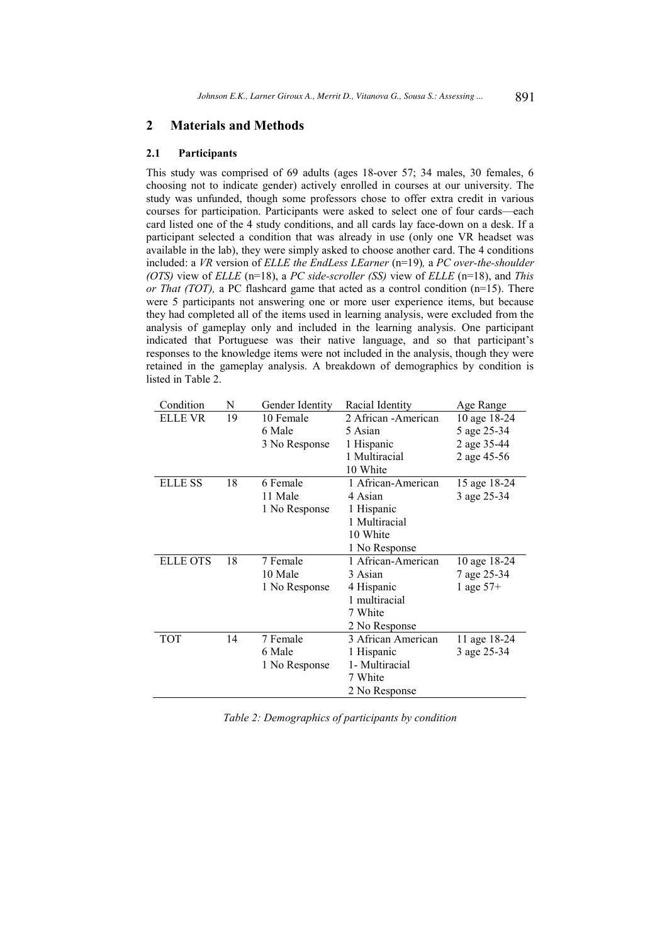#### $\boldsymbol{2}$ **Materials and Methods**

#### $2.1$ Participants

This study was comprised of 69 adults (ages 18-over 57; 34 males, 30 females, 6 choosing not to indicate gender) actively enrolled in courses at our university. The study was unfunded, though some professors chose to offer extra credit in various courses for participation. Participants were asked to select one of four cards—each card listed one of the 4 study conditions, and all cards lay face-down on a desk. If a participant selected a condition that was already in use (only one VR headset was available in the lab), they were simply asked to choose another card. The 4 conditions included: a VR version of ELLE the EndLess LEarner (n=19), a PC over-the-shoulder (OTS) view of ELLE (n=18), a PC side-scroller (SS) view of ELLE (n=18), and This or That (TOT), a PC flashcard game that acted as a control condition ( $n=15$ ). There were 5 participants not answering one or more user experience items, but because they had completed all of the items used in learning analysis, were excluded from the analysis of gameplay only and included in the learning analysis. One participant indicated that Portuguese was their native language, and so that participant's responses to the knowledge items were not included in the analysis, though they were retained in the gameplay analysis. A breakdown of demographics by condition is listed in Table 2.

| Condition       | N  | Gender Identity | Racial Identity      | Age Range    |
|-----------------|----|-----------------|----------------------|--------------|
| ELLE VR         | 19 | 10 Female       | 2 African - American | 10 age 18-24 |
|                 |    | 6 Male          | 5 Asian              | 5 age 25-34  |
|                 |    | 3 No Response   | 1 Hispanic           | 2 age 35-44  |
|                 |    |                 | 1 Multiracial        | 2 age 45-56  |
|                 |    |                 | 10 White             |              |
| <b>ELLE SS</b>  | 18 | 6 Female        | 1 African-American   | 15 age 18-24 |
|                 |    | 11 Male         | 4 Asian              | 3 age 25-34  |
|                 |    | 1 No Response   | 1 Hispanic           |              |
|                 |    |                 | 1 Multiracial        |              |
|                 |    |                 | 10 White             |              |
|                 |    |                 | 1 No Response        |              |
| <b>ELLE OTS</b> | 18 | 7 Female        | 1 African-American   | 10 age 18-24 |
|                 |    | 10 Male         | 3 Asian              | 7 age 25-34  |
|                 |    | 1 No Response   | 4 Hispanic           | 1 age $57+$  |
|                 |    |                 | 1 multiracial        |              |
|                 |    |                 | 7 White              |              |
|                 |    |                 | 2 No Response        |              |
| <b>TOT</b>      | 14 | 7 Female        | 3 African American   | 11 age 18-24 |
|                 |    | 6 Male          | 1 Hispanic           | 3 age 25-34  |
|                 |    | 1 No Response   | 1- Multiracial       |              |
|                 |    |                 | 7 White              |              |
|                 |    |                 | 2 No Response        |              |

|  |  | Table 2: Demographics of participants by condition |  |  |  |  |
|--|--|----------------------------------------------------|--|--|--|--|
|  |  |                                                    |  |  |  |  |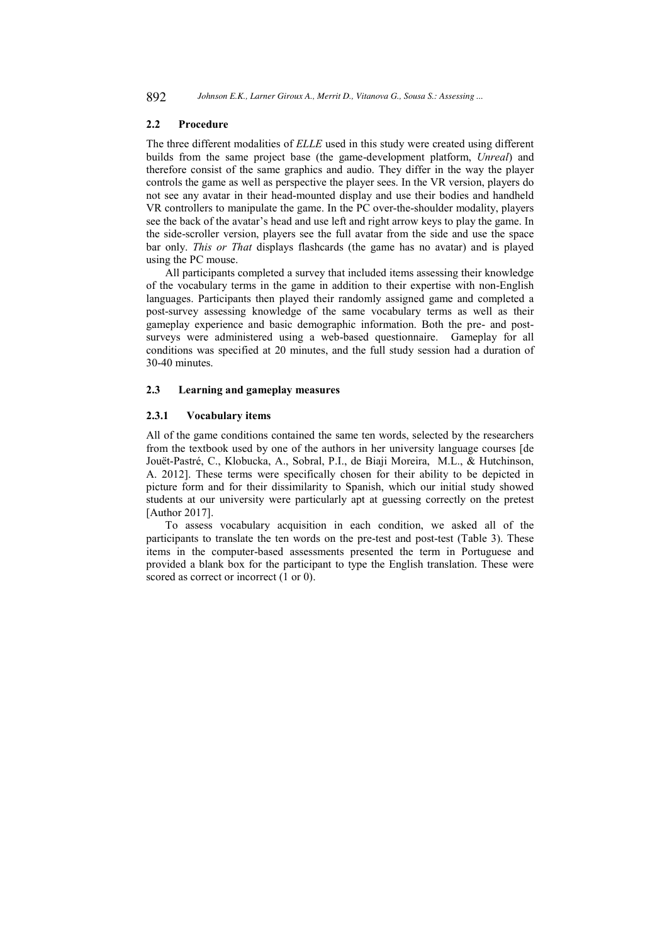#### $2.2$ Procedure

The three different modalities of ELLE used in this study were created using different builds from the same project base (the game-development platform, Unreal) and therefore consist of the same graphics and audio. They differ in the way the player controls the game as well as perspective the player sees. In the VR version, players do not see any avatar in their head-mounted display and use their bodies and handheld VR controllers to manipulate the game. In the PC over-the-shoulder modality, players see the back of the avatar's head and use left and right arrow keys to play the game. In the side-scroller version, players see the full avatar from the side and use the space bar only. This or That displays flashcards (the game has no avatar) and is played using the PC mouse.

All participants completed a survey that included items assessing their knowledge of the vocabulary terms in the game in addition to their expertise with non-English languages. Participants then played their randomly assigned game and completed a post-survey assessing knowledge of the same vocabulary terms as well as their gameplay experience and basic demographic information. Both the pre- and postsurveys were administered using a web-based questionnaire. Gameplay for all conditions was specified at 20 minutes, and the full study session had a duration of 30-40 minutes.

#### $2.3$ Learning and gameplay measures

#### $2.3.1$ **Vocabulary items**

All of the game conditions contained the same ten words, selected by the researchers from the textbook used by one of the authors in her university language courses [de Jouët-Pastré, C., Klobucka, A., Sobral, P.I., de Biaji Moreira, M.L., & Hutchinson, A. 2012]. These terms were specifically chosen for their ability to be depicted in picture form and for their dissimilarity to Spanish, which our initial study showed students at our university were particularly apt at guessing correctly on the pretest [Author 2017].

To assess vocabulary acquisition in each condition, we asked all of the participants to translate the ten words on the pre-test and post-test (Table 3). These items in the computer-based assessments presented the term in Portuguese and provided a blank box for the participant to type the English translation. These were scored as correct or incorrect  $(1 or 0)$ .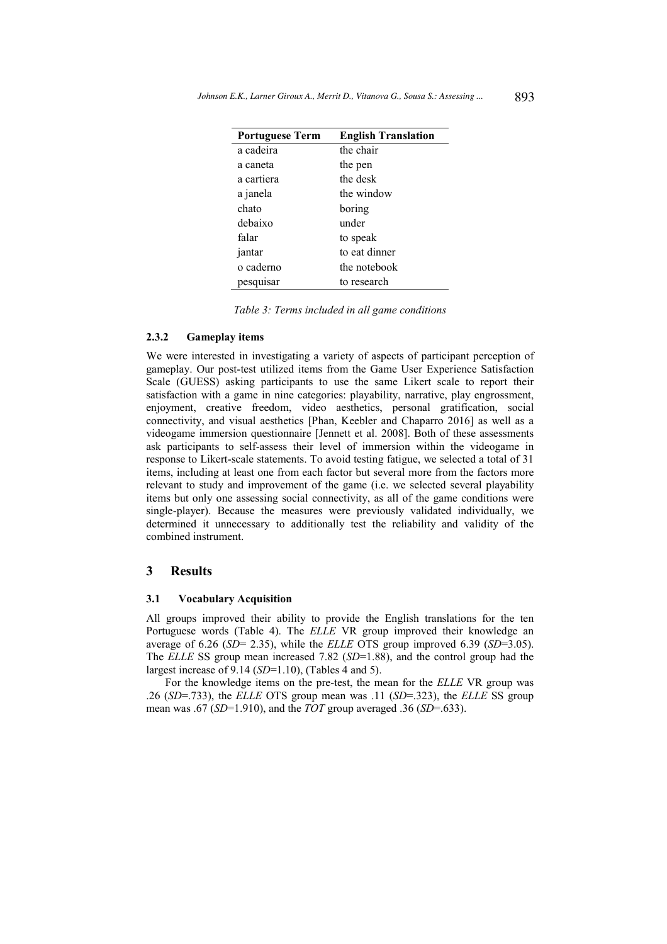| <b>Portuguese Term</b> | <b>English Translation</b> |
|------------------------|----------------------------|
| a cadeira              | the chair                  |
| a caneta               | the pen                    |
| a cartiera             | the desk                   |
| a janela               | the window                 |
| chato                  | boring                     |
| debaixo                | under                      |
| falar                  | to speak                   |
| jantar                 | to eat dinner              |
| o caderno              | the notebook               |
| pesquisar              | to research                |

Table 3: Terms included in all game conditions

#### $2.3.2$ **Gameplay items**

We were interested in investigating a variety of aspects of participant perception of gameplay. Our post-test utilized items from the Game User Experience Satisfaction Scale (GUESS) asking participants to use the same Likert scale to report their satisfaction with a game in nine categories: playability, narrative, play engrossment, enjoyment, creative freedom, video aesthetics, personal gratification, social connectivity, and visual aesthetics [Phan, Keebler and Chaparro 2016] as well as a videogame immersion questionnaire [Jennett et al. 2008]. Both of these assessments ask participants to self-assess their level of immersion within the videogame in response to Likert-scale statements. To avoid testing fatigue, we selected a total of 31 items, including at least one from each factor but several more from the factors more relevant to study and improvement of the game (i.e. we selected several playability items but only one assessing social connectivity, as all of the game conditions were single-player). Because the measures were previously validated individually, we determined it unnecessary to additionally test the reliability and validity of the combined instrument.

#### 3 **Results**

#### $3.1$ **Vocabulary Acquisition**

All groups improved their ability to provide the English translations for the ten Portuguese words (Table 4). The ELLE VR group improved their knowledge an average of 6.26 (SD= 2.35), while the ELLE OTS group improved 6.39 (SD=3.05). The ELLE SS group mean increased 7.82 ( $SD=1.88$ ), and the control group had the largest increase of 9.14  $(SD=1.10)$ . (Tables 4 and 5).

For the knowledge items on the pre-test, the mean for the ELLE VR group was .26 (SD=.733), the ELLE OTS group mean was .11 (SD=.323), the ELLE SS group mean was .67 (SD=1.910), and the TOT group averaged .36 (SD=.633).

893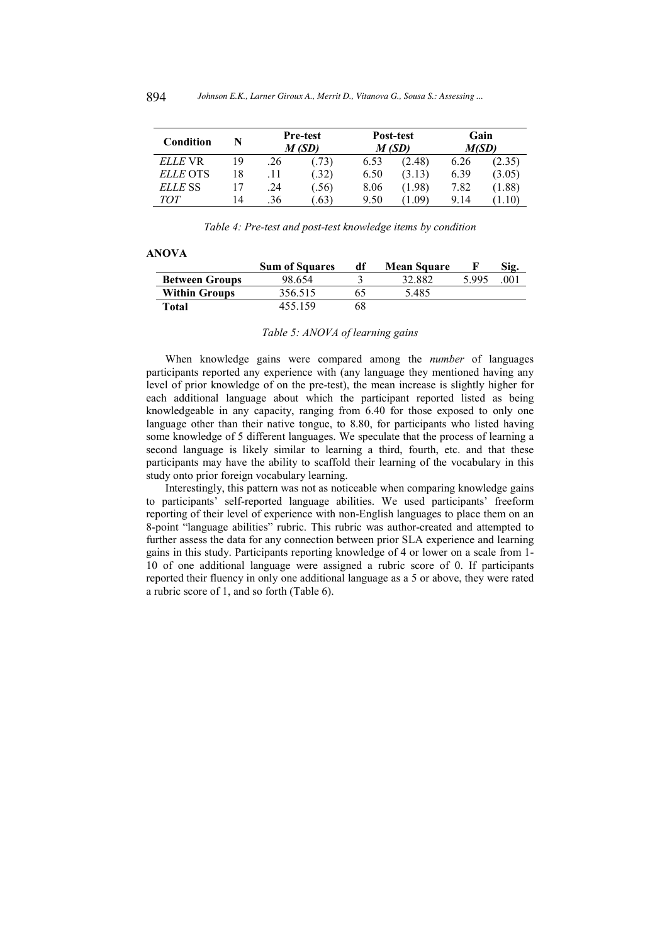| Condition       |    | <b>Pre-test</b><br>M (SD) |                  |      | Post-test<br>M(SD) | Gain<br>M(SD) |        |  |
|-----------------|----|---------------------------|------------------|------|--------------------|---------------|--------|--|
| <i>ELLE</i> VR  | 19 | .26                       | (0.73)           | 6.53 | (2.48)             | 6.26          | (2.35) |  |
| <i>ELLE</i> OTS | 18 | .11                       | .32)             | 6.50 | (3.13)             | 6.39          | (3.05) |  |
| ELLE SS         |    | .24                       | (.56)            | 8.06 | (1.98)             | 7.82          | (1.88) |  |
| TOT             | 14 | .36                       | .63 <sup>5</sup> | 9.50 | 1.09)              | 9.14          |        |  |

Table 4: Pre-test and post-test knowledge items by condition

|                       | <b>Sum of Squares</b> | df | <b>Mean Square</b> |       | Sig. |
|-----------------------|-----------------------|----|--------------------|-------|------|
| <b>Between Groups</b> | 98.654                |    | 32.882             | 5.995 | 001  |
| <b>Within Groups</b>  | 356.515               |    | 5.485              |       |      |
| Total                 | 455.159               | 68 |                    |       |      |

### Table 5: ANOVA of learning gains

When knowledge gains were compared among the number of languages participants reported any experience with (any language they mentioned having any level of prior knowledge of on the pre-test), the mean increase is slightly higher for each additional language about which the participant reported listed as being knowledgeable in any capacity, ranging from 6.40 for those exposed to only one language other than their native tongue, to 8.80, for participants who listed having some knowledge of 5 different languages. We speculate that the process of learning a second language is likely similar to learning a third, fourth, etc. and that these participants may have the ability to scaffold their learning of the vocabulary in this study onto prior foreign vocabulary learning.

Interestingly, this pattern was not as noticeable when comparing knowledge gains to participants' self-reported language abilities. We used participants' freeform reporting of their level of experience with non-English languages to place them on an 8-point "language abilities" rubric. This rubric was author-created and attempted to further assess the data for any connection between prior SLA experience and learning gains in this study. Participants reporting knowledge of 4 or lower on a scale from 1-10 of one additional language were assigned a rubric score of 0. If participants reported their fluency in only one additional language as a 5 or above, they were rated a rubric score of 1, and so forth (Table 6).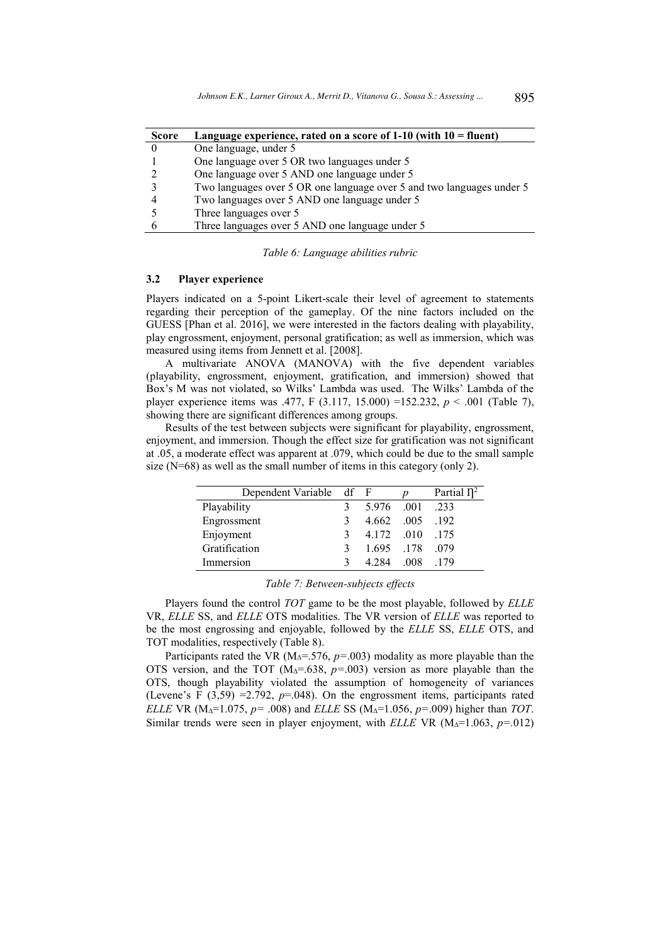| <b>Score</b> | Language experience, rated on a score of $1-10$ (with $10 =$ fluent)  |
|--------------|-----------------------------------------------------------------------|
|              | One language, under 5                                                 |
|              | One language over 5 OR two languages under 5                          |
|              | One language over 5 AND one language under 5                          |
|              | Two languages over 5 OR one language over 5 and two languages under 5 |
|              | Two languages over 5 AND one language under 5                         |
|              | Three languages over 5                                                |
|              | Three languages over 5 AND one language under 5                       |

### Table 6: Language abilities rubric

#### $3.2$ Player experience

Players indicated on a 5-point Likert-scale their level of agreement to statements regarding their perception of the gameplay. Of the nine factors included on the GUESS [Phan et al. 2016], we were interested in the factors dealing with playability, play engrossment, enjoyment, personal gratification; as well as immersion, which was measured using items from Jennett et al. [2008].

A multivariate ANOVA (MANOVA) with the five dependent variables (playability, engrossment, enjoyment, gratification, and immersion) showed that Box's M was not violated, so Wilks' Lambda was used. The Wilks' Lambda of the player experience items was .477, F (3.117, 15.000) = 152.232,  $p < .001$  (Table 7), showing there are significant differences among groups.

Results of the test between subjects were significant for playability, engrossment. enjoyment, and immersion. Though the effect size for gratification was not significant at .05, a moderate effect was apparent at .079, which could be due to the small sample size  $(N=68)$  as well as the small number of items in this category (only 2).

| Dependent Variable df F |   |                 |      | Partial $\eta^2$ |
|-------------------------|---|-----------------|------|------------------|
| Playability             |   | 5.976 .001      |      | .233             |
| Engrossment             | 3 | 4.662 .005 .192 |      |                  |
| Enjoyment               | 3 | 4.172 .010 .175 |      |                  |
| Gratification           | 3 | 1.695 .178 .079 |      |                  |
| Immersion               |   | 4 2 8 4         | -008 | - 179            |

### Table 7: Between-subjects effects

Players found the control TOT game to be the most playable, followed by ELLE VR, ELLE SS, and ELLE OTS modalities. The VR version of ELLE was reported to be the most engrossing and enjoyable, followed by the ELLE SS, ELLE OTS, and TOT modalities, respectively (Table 8).

Participants rated the VR ( $M<sub>Δ</sub>=.576$ ,  $p=.003$ ) modality as more playable than the OTS version, and the TOT ( $M<sub>Δ</sub>=.638$ ,  $p=.003$ ) version as more playable than the OTS, though playability violated the assumption of homogeneity of variances (Levene's F  $(3,59)$  =2.792, p=.048). On the engrossment items, participants rated ELLE VR (M<sub>A</sub>=1.075,  $p = .008$ ) and ELLE SS (M<sub>A</sub>=1.056,  $p = .009$ ) higher than TOT. Similar trends were seen in player enjoyment, with ELLE VR ( $M<sub>A</sub>=1.063$ ,  $p=.012$ )

895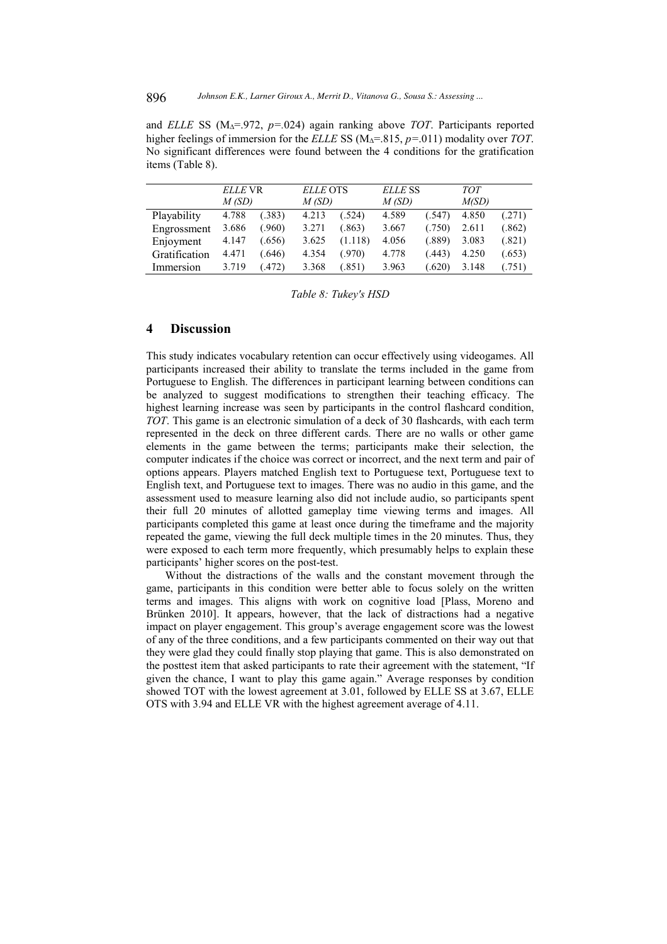and ELLE SS (M<sub>A</sub>=.972,  $p=0.024$ ) again ranking above *TOT*. Participants reported higher feelings of immersion for the ELLE SS ( $M_A$ =.815,  $p=0.011$ ) modality over TOT. No significant differences were found between the 4 conditions for the gratification items (Table 8).

|               | ELLE VR<br>M(SD) |        | <b>ELLE OTS</b><br>M(SD) |         | ELLE SS<br>M(SD) |        | <b>TOT</b><br>M(SD) |        |
|---------------|------------------|--------|--------------------------|---------|------------------|--------|---------------------|--------|
| Playability   | 4.788            | (.383) | 4.213                    | (.524)  | 4.589            | (.547) | 4.850               | (.271) |
| Engrossment   | 3.686            | (.960) | 3.271                    | (.863)  | 3.667            | (.750) | 2.611               | (.862) |
| Enjoyment     | 4.147            | (.656) | 3.625                    | (1.118) | 4.056            | (.889) | 3.083               | (.821) |
| Gratification | 4.471            | 646    | 4.354                    | (.970)  | 4.778            | (.443) | 4.250               | (.653) |
| Immersion     | 3.719            | (472)  | 3.368                    | (.851)  | 3.963            | (.620) | 3.148               | (.751) |

Table 8: Tukey's HSD

#### $\overline{\mathbf{A}}$ **Discussion**

This study indicates vocabulary retention can occur effectively using videogames. All participants increased their ability to translate the terms included in the game from Portuguese to English. The differences in participant learning between conditions can be analyzed to suggest modifications to strengthen their teaching efficacy. The highest learning increase was seen by participants in the control flashcard condition, TOT. This game is an electronic simulation of a deck of 30 flashcards, with each term represented in the deck on three different cards. There are no walls or other game elements in the game between the terms; participants make their selection, the computer indicates if the choice was correct or incorrect, and the next term and pair of options appears. Players matched English text to Portuguese text, Portuguese text to English text, and Portuguese text to images. There was no audio in this game, and the assessment used to measure learning also did not include audio, so participants spent their full 20 minutes of allotted gameplay time viewing terms and images. All participants completed this game at least once during the timeframe and the majority repeated the game, viewing the full deck multiple times in the 20 minutes. Thus, they were exposed to each term more frequently, which presumably helps to explain these participants' higher scores on the post-test.

Without the distractions of the walls and the constant movement through the game, participants in this condition were better able to focus solely on the written terms and images. This aligns with work on cognitive load [Plass, Moreno and Brünken 2010]. It appears, however, that the lack of distractions had a negative impact on player engagement. This group's average engagement score was the lowest of any of the three conditions, and a few participants commented on their way out that they were glad they could finally stop playing that game. This is also demonstrated on the posttest item that asked participants to rate their agreement with the statement, "If given the chance, I want to play this game again." Average responses by condition showed TOT with the lowest agreement at 3.01, followed by ELLE SS at 3.67, ELLE OTS with 3.94 and ELLE VR with the highest agreement average of 4.11.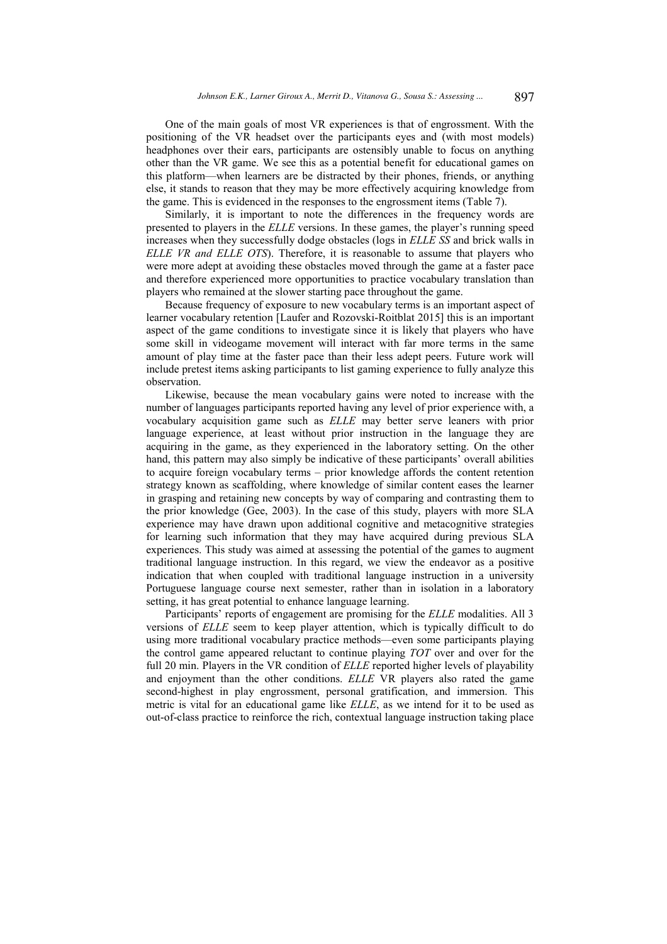One of the main goals of most VR experiences is that of engrossment. With the positioning of the VR headset over the participants eyes and (with most models) headphones over their ears, participants are ostensibly unable to focus on anything other than the VR game. We see this as a potential benefit for educational games on this platform—when learners are be distracted by their phones, friends, or anything else, it stands to reason that they may be more effectively acquiring knowledge from the game. This is evidenced in the responses to the engrossment items (Table 7).

Similarly, it is important to note the differences in the frequency words are presented to players in the ELLE versions. In these games, the player's running speed increases when they successfully dodge obstacles (logs in ELLE SS and brick walls in ELLE VR and ELLE OTS). Therefore, it is reasonable to assume that players who were more adept at avoiding these obstacles moved through the game at a faster pace and therefore experienced more opportunities to practice vocabulary translation than players who remained at the slower starting pace throughout the game.

Because frequency of exposure to new vocabulary terms is an important aspect of learner vocabulary retention [Laufer and Rozovski-Roitblat 2015] this is an important aspect of the game conditions to investigate since it is likely that players who have some skill in videogame movement will interact with far more terms in the same amount of play time at the faster pace than their less adept peers. Future work will include pretest items asking participants to list gaming experience to fully analyze this observation.

Likewise, because the mean vocabulary gains were noted to increase with the number of languages participants reported having any level of prior experience with, a vocabulary acquisition game such as ELLE may better serve leaners with prior language experience, at least without prior instruction in the language they are acquiring in the game, as they experienced in the laboratory setting. On the other hand, this pattern may also simply be indicative of these participants' overall abilities to acquire foreign vocabulary terms - prior knowledge affords the content retention strategy known as scaffolding, where knowledge of similar content eases the learner in grasping and retaining new concepts by way of comparing and contrasting them to the prior knowledge (Gee, 2003). In the case of this study, players with more SLA experience may have drawn upon additional cognitive and metacognitive strategies for learning such information that they may have acquired during previous SLA experiences. This study was aimed at assessing the potential of the games to augment traditional language instruction. In this regard, we view the endeavor as a positive indication that when coupled with traditional language instruction in a university Portuguese language course next semester, rather than in isolation in a laboratory setting, it has great potential to enhance language learning.

Participants' reports of engagement are promising for the ELLE modalities. All 3 versions of ELLE seem to keep player attention, which is typically difficult to do using more traditional vocabulary practice methods—even some participants playing the control game appeared reluctant to continue playing TOT over and over for the full 20 min. Players in the VR condition of ELLE reported higher levels of playability and enjoyment than the other conditions. ELLE VR players also rated the game second-highest in play engrossment, personal gratification, and immersion. This metric is vital for an educational game like ELLE, as we intend for it to be used as out-of-class practice to reinforce the rich, contextual language instruction taking place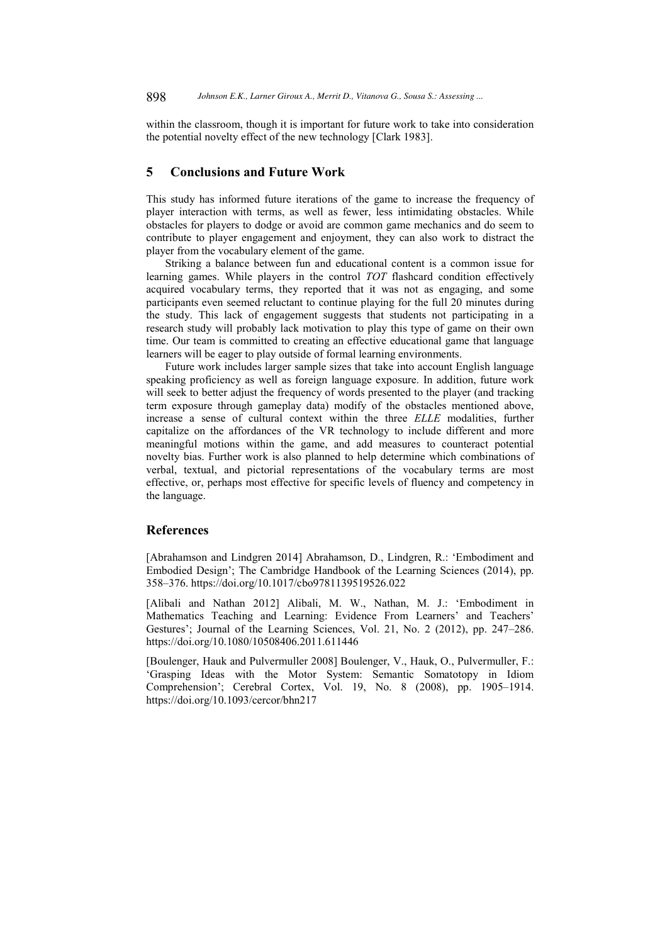within the classroom, though it is important for future work to take into consideration the potential novelty effect of the new technology [Clark 1983].

#### 5 **Conclusions and Future Work**

This study has informed future iterations of the game to increase the frequency of player interaction with terms, as well as fewer, less intimidating obstacles. While obstacles for players to dodge or avoid are common game mechanics and do seem to contribute to player engagement and enjoyment, they can also work to distract the player from the vocabulary element of the game.

Striking a balance between fun and educational content is a common issue for learning games. While players in the control TOT flashcard condition effectively acquired vocabulary terms, they reported that it was not as engaging, and some participants even seemed reluctant to continue playing for the full 20 minutes during the study. This lack of engagement suggests that students not participating in a research study will probably lack motivation to play this type of game on their own time. Our team is committed to creating an effective educational game that language learners will be eager to play outside of formal learning environments.

Future work includes larger sample sizes that take into account English language speaking proficiency as well as foreign language exposure. In addition, future work will seek to better adjust the frequency of words presented to the player (and tracking term exposure through gameplay data) modify of the obstacles mentioned above, increase a sense of cultural context within the three ELLE modalities, further capitalize on the affordances of the VR technology to include different and more meaningful motions within the game, and add measures to counteract potential novelty bias. Further work is also planned to help determine which combinations of verbal, textual, and pictorial representations of the vocabulary terms are most effective, or, perhaps most effective for specific levels of fluency and competency in the language.

## **References**

[Abrahamson and Lindgren 2014] Abrahamson, D., Lindgren, R.: 'Embodiment and Embodied Design'; The Cambridge Handbook of the Learning Sciences (2014), pp. 358-376. https://doi.org/10.1017/cbo9781139519526.022

[Alibali and Nathan 2012] Alibali, M. W., Nathan, M. J.: 'Embodiment in Mathematics Teaching and Learning: Evidence From Learners' and Teachers' Gestures'; Journal of the Learning Sciences, Vol. 21, No. 2 (2012), pp. 247-286. https://doi.org/10.1080/10508406.2011.611446

[Boulenger, Hauk and Pulvermuller 2008] Boulenger, V., Hauk, O., Pulvermuller, F.: 'Grasping Ideas with the Motor System: Semantic Somatotopy in Idiom Comprehension'; Cerebral Cortex, Vol. 19, No. 8 (2008), pp. 1905-1914. https://doi.org/10.1093/cercor/bhn217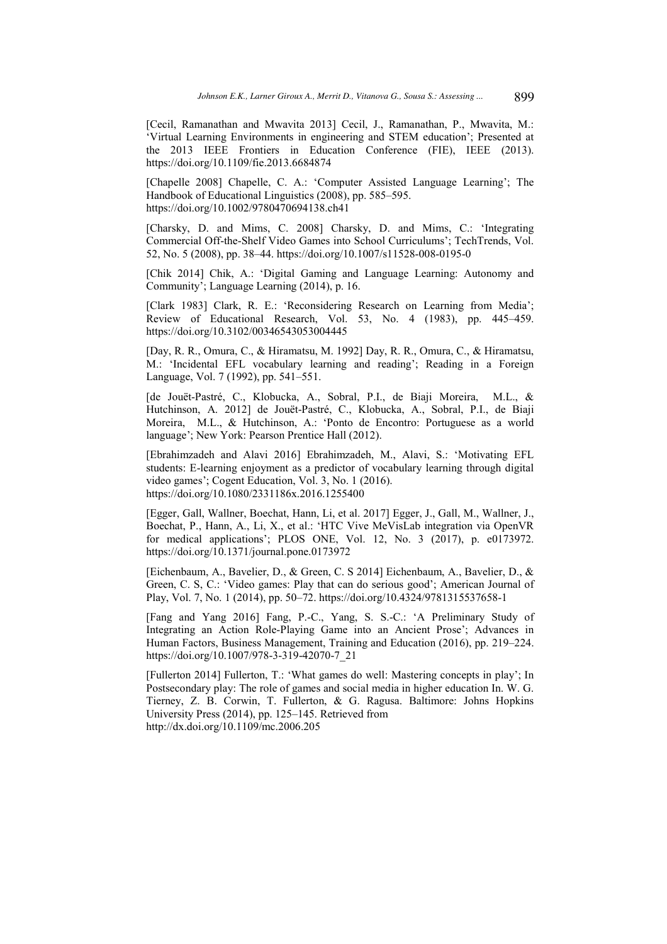[Cecil, Ramanathan and Mwavita 2013] Cecil, J., Ramanathan, P., Mwavita, M.: 'Virtual Learning Environments in engineering and STEM education'; Presented at the 2013 IEEE Frontiers in Education Conference (FIE), IEEE (2013). https://doi.org/10.1109/fie.2013.6684874

[Chapelle 2008] Chapelle, C. A.: 'Computer Assisted Language Learning'; The Handbook of Educational Linguistics (2008), pp. 585–595. https://doi.org/10.1002/9780470694138.ch41

[Charsky, D. and Mims, C. 2008] Charsky, D. and Mims, C.: 'Integrating Commercial Off-the-Shelf Video Games into School Curriculums'; TechTrends, Vol. 52, No. 5 (2008), pp. 38–44. https://doi.org/10.1007/s11528-008-0195-0

[Chik 2014] Chik, A.: 'Digital Gaming and Language Learning: Autonomy and Community'; Language Learning (2014), p. 16.

[Clark 1983] Clark, R. E.: 'Reconsidering Research on Learning from Media'; Review of Educational Research, Vol. 53, No. 4 (1983), pp. 445–459. https://doi.org/10.3102/00346543053004445

[Day, R. R., Omura, C., & Hiramatsu, M. 1992] Day, R. R., Omura, C., & Hiramatsu, M.: 'Incidental EFL vocabulary learning and reading'; Reading in a Foreign Language, Vol. 7 (1992), pp. 541–551.

Ide Jouët-Pastré, C., Klobucka, A., Sobral, P.I., de Biaji Moreira, M.L., & Hutchinson, A. 2012] de Jouët-Pastré, C., Klobucka, A., Sobral, P.I., de Biaji Moreira, M.L., & Hutchinson, A.: 'Ponto de Encontro: Portuguese as a world language'; New York: Pearson Prentice Hall (2012).

[Ebrahimzadeh and Alavi 2016] Ebrahimzadeh, M., Alavi, S.: 'Motivating EFL students: E-learning enjoyment as a predictor of vocabulary learning through digital video games'; Cogent Education, Vol. 3, No. 1 (2016). https://doi.org/10.1080/2331186x.2016.1255400

[Egger, Gall, Wallner, Boechat, Hann, Li, et al. 2017] Egger, J., Gall, M., Wallner, J., Boechat, P., Hann, A., Li, X., et al.: 'HTC Vive MeVisLab integration via OpenVR for medical applications'; PLOS ONE, Vol. 12, No. 3 (2017), p. e0173972. https://doi.org/10.1371/journal.pone.0173972

[Eichenbaum, A., Bavelier, D., & Green, C. S 2014] Eichenbaum, A., Bavelier, D., & Green, C. S, C.: 'Video games: Play that can do serious good'; American Journal of Play, Vol. 7, No. 1 (2014), pp. 50–72. https://doi.org/10.4324/9781315537658-1

[Fang and Yang 2016] Fang, P.-C., Yang, S. S.-C.: 'A Preliminary Study of Integrating an Action Role-Playing Game into an Ancient Prose'; Advances in Human Factors, Business Management, Training and Education (2016), pp. 219-224. https://doi.org/10.1007/978-3-319-42070-7 21

[Fullerton 2014] Fullerton, T.: 'What games do well: Mastering concepts in play'; In Postsecondary play: The role of games and social media in higher education In. W. G. Tierney, Z. B. Corwin, T. Fullerton, & G. Ragusa. Baltimore: Johns Hopkins University Press (2014), pp. 125–145. Retrieved from http://dx.doi.org/10.1109/mc.2006.205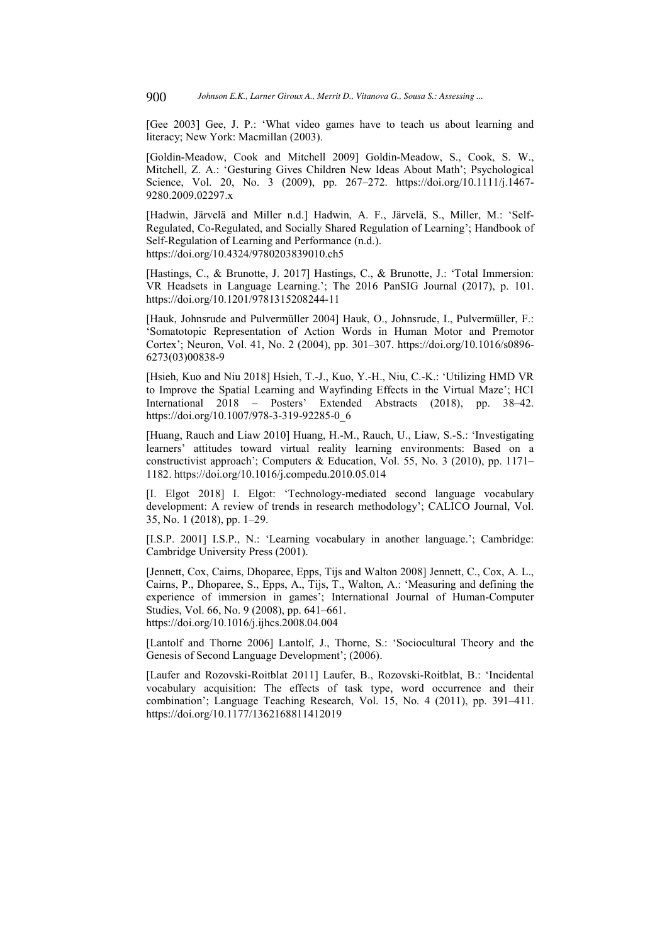[Gee 2003] Gee, J. P.: 'What video games have to teach us about learning and literacy; New York: Macmillan (2003).

[Goldin-Meadow, Cook and Mitchell 2009] Goldin-Meadow, S., Cook, S. W., Mitchell, Z. A.: 'Gesturing Gives Children New Ideas About Math': Psychological Science, Vol. 20, No. 3 (2009), pp. 267–272, https://doi.org/10.1111/j.1467-9280.2009.02297.x

[Hadwin, Järvelä and Miller n.d.] Hadwin, A. F., Järvelä, S., Miller, M.: 'Self-Regulated, Co-Regulated, and Socially Shared Regulation of Learning'; Handbook of Self-Regulation of Learning and Performance (n.d.). https://doi.org/10.4324/9780203839010.ch5

[Hastings, C., & Brunotte, J. 2017] Hastings, C., & Brunotte, J.: 'Total Immersion: VR Headsets in Language Learning.'; The 2016 PanSIG Journal (2017), p. 101. https://doi.org/10.1201/9781315208244-11

[Hauk, Johnsrude and Pulvermüller 2004] Hauk, O., Johnsrude, I., Pulvermüller, F.: 'Somatotopic Representation of Action Words in Human Motor and Premotor Cortex'; Neuron, Vol. 41, No. 2 (2004), pp. 301-307. https://doi.org/10.1016/s0896-6273(03)00838-9

[Hsieh, Kuo and Niu 2018] Hsieh, T.-J., Kuo, Y.-H., Niu, C.-K.: 'Utilizing HMD VR to Improve the Spatial Learning and Wayfinding Effects in the Virtual Maze'; HCI International 2018 – Posters' Extended Abstracts (2018), pp. 38–42. https://doi.org/10.1007/978-3-319-92285-0 6

[Huang, Rauch and Liaw 2010] Huang, H.-M., Rauch, U., Liaw, S.-S.: 'Investigating learners' attitudes toward virtual reality learning environments: Based on a constructivist approach'; Computers & Education, Vol. 55, No. 3 (2010), pp. 1171– 1182. https://doi.org/10.1016/j.compedu.2010.05.014

[I. Elgot 2018] I. Elgot: 'Technology-mediated second language vocabulary development: A review of trends in research methodology'; CALICO Journal, Vol. 35, No. 1 (2018), pp. 1-29.

[I.S.P. 2001] I.S.P., N.: 'Learning vocabulary in another language.'; Cambridge: Cambridge University Press (2001).

[Jennett, Cox, Cairns, Dhoparee, Epps, Tiis and Walton 2008] Jennett, C., Cox, A. L., Cairns, P., Dhoparee, S., Epps, A., Tijs, T., Walton, A.: 'Measuring and defining the experience of immersion in games'; International Journal of Human-Computer Studies, Vol. 66, No. 9 (2008), pp. 641–661. https://doi.org/10.1016/j.ijhcs.2008.04.004

[Lantolf and Thorne 2006] Lantolf, J., Thorne, S.: 'Sociocultural Theory and the Genesis of Second Language Development'; (2006).

[Laufer and Rozovski-Roitblat 2011] Laufer, B., Rozovski-Roitblat, B.: 'Incidental vocabulary acquisition: The effects of task type, word occurrence and their combination'; Language Teaching Research, Vol. 15, No. 4 (2011), pp. 391–411. https://doi.org/10.1177/1362168811412019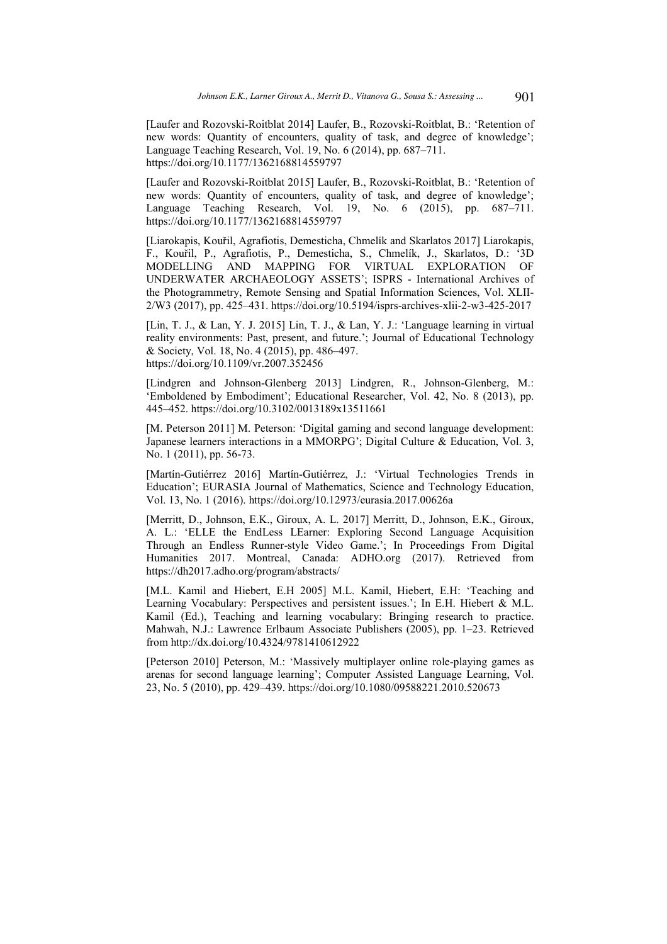[Laufer and Rozovski-Roitblat 2014] Laufer, B., Rozovski-Roitblat, B.: 'Retention of new words: Quantity of encounters, quality of task, and degree of knowledge'; Language Teaching Research, Vol. 19, No. 6 (2014), pp. 687-711. https://doi.org/10.1177/1362168814559797

[Laufer and Rozovski-Roitblat 2015] Laufer, B., Rozovski-Roitblat, B.: 'Retention of new words: Quantity of encounters, quality of task, and degree of knowledge'; Language Teaching Research, Vol. 19, No.  $6$  (2015), pp.  $687-711$ . https://doi.org/10.1177/1362168814559797

[Liarokapis, Kouřil, Agrafiotis, Demesticha, Chmelík and Skarlatos 2017] Liarokapis, F., Kouřil, P., Agrafiotis, P., Demesticha, S., Chmelík, J., Skarlatos, D.: '3D MODELLING AND MAPPING FOR VIRTUAL EXPLORATION OF UNDERWATER ARCHAEOLOGY ASSETS'; ISPRS - International Archives of the Photogrammetry, Remote Sensing and Spatial Information Sciences, Vol. XLII-2/W3 (2017), pp. 425-431. https://doi.org/10.5194/isprs-archives-xlii-2-w3-425-2017

[Lin, T. J., & Lan, Y. J. 2015] Lin, T. J., & Lan, Y. J.: 'Language learning in virtual reality environments: Past, present, and future.'; Journal of Educational Technology & Society, Vol. 18, No. 4 (2015), pp. 486–497. https://doi.org/10.1109/vr.2007.352456

[Lindgren and Johnson-Glenberg 2013] Lindgren, R., Johnson-Glenberg, M.: 'Emboldened by Embodiment'; Educational Researcher, Vol. 42, No. 8 (2013), pp. 445-452. https://doi.org/10.3102/0013189x13511661

[M. Peterson 2011] M. Peterson: 'Digital gaming and second language development: Japanese learners interactions in a MMORPG'; Digital Culture & Education, Vol. 3, No. 1 (2011), pp. 56-73.

[Martín-Gutiérrez 2016] Martín-Gutiérrez, J.: 'Virtual Technologies Trends in Education'; EURASIA Journal of Mathematics, Science and Technology Education, Vol. 13, No. 1 (2016). https://doi.org/10.12973/eurasia.2017.00626a

[Merritt, D., Johnson, E.K., Giroux, A. L. 2017] Merritt, D., Johnson, E.K., Giroux, A. L.: 'ELLE the EndLess LEarner: Exploring Second Language Acquisition Through an Endless Runner-style Video Game.'; In Proceedings From Digital Humanities 2017. Montreal, Canada: ADHO.org (2017). Retrieved from https://dh2017.adho.org/program/abstracts/

[M.L. Kamil and Hiebert, E.H 2005] M.L. Kamil, Hiebert, E.H: 'Teaching and Learning Vocabulary: Perspectives and persistent issues.'; In E.H. Hiebert & M.L. Kamil (Ed.), Teaching and learning vocabulary: Bringing research to practice. Mahwah, N.J.: Lawrence Erlbaum Associate Publishers (2005), pp. 1-23. Retrieved from http://dx.doi.org/10.4324/9781410612922

[Peterson 2010] Peterson, M.: 'Massively multiplayer online role-playing games as arenas for second language learning'; Computer Assisted Language Learning, Vol. 23, No. 5 (2010), pp. 429–439. https://doi.org/10.1080/09588221.2010.520673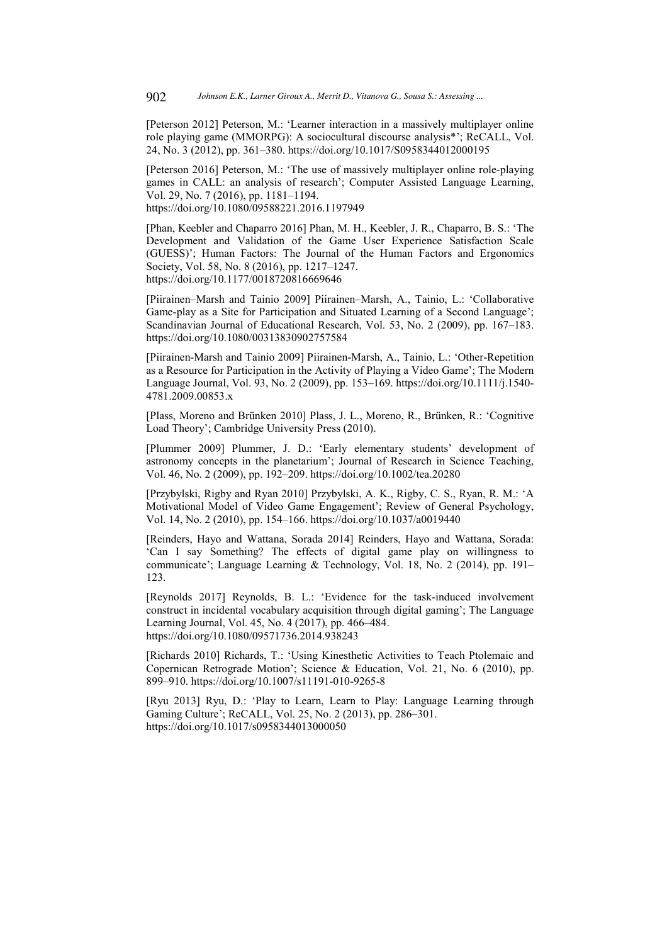[Peterson 2012] Peterson, M.: 'Learner interaction in a massively multiplayer online role playing game (MMORPG): A sociocultural discourse analysis\*'; ReCALL, Vol. 24, No. 3 (2012), pp. 361-380. https://doi.org/10.1017/S0958344012000195

[Peterson 2016] Peterson, M.: 'The use of massively multiplayer online role-playing games in CALL: an analysis of research': Computer Assisted Language Learning, Vol. 29, No. 7 (2016), pp. 1181–1194.

https://doi.org/10.1080/09588221.2016.1197949

[Phan, Keebler and Chaparro 2016] Phan, M. H., Keebler, J. R., Chaparro, B. S.: 'The Development and Validation of the Game User Experience Satisfaction Scale (GUESS)'; Human Factors: The Journal of the Human Factors and Ergonomics Society, Vol. 58, No. 8 (2016), pp. 1217–1247. https://doi.org/10.1177/0018720816669646

[Piirainen-Marsh and Tainio 2009] Piirainen-Marsh, A., Tainio, L.: 'Collaborative Game-play as a Site for Participation and Situated Learning of a Second Language'; Scandinavian Journal of Educational Research, Vol. 53, No. 2 (2009), pp. 167-183. https://doi.org/10.1080/00313830902757584

[Piirainen-Marsh and Tainio 2009] Piirainen-Marsh, A., Tainio, L.: 'Other-Repetition as a Resource for Participation in the Activity of Playing a Video Game'; The Modern Language Journal, Vol. 93, No. 2 (2009), pp. 153–169. https://doi.org/10.1111/j.1540-4781.2009.00853.x

[Plass, Moreno and Brünken 2010] Plass, J. L., Moreno, R., Brünken, R.: 'Cognitive Load Theory'; Cambridge University Press (2010).

[Plummer 2009] Plummer, J. D.: 'Early elementary students' development of astronomy concepts in the planetarium'; Journal of Research in Science Teaching, Vol. 46, No. 2 (2009), pp. 192–209. https://doi.org/10.1002/tea.20280

[Przybylski, Rigby and Ryan 2010] Przybylski, A. K., Rigby, C. S., Ryan, R. M.: 'A Motivational Model of Video Game Engagement'; Review of General Psychology, Vol. 14, No. 2 (2010), pp. 154–166. https://doi.org/10.1037/a0019440

[Reinders, Hayo and Wattana, Sorada 2014] Reinders, Hayo and Wattana, Sorada: 'Can I say Something? The effects of digital game play on willingness to communicate'; Language Learning & Technology, Vol. 18, No. 2 (2014), pp. 191– 123.

[Reynolds 2017] Reynolds, B. L.: 'Evidence for the task-induced involvement construct in incidental vocabulary acquisition through digital gaming': The Language Learning Journal, Vol. 45, No. 4 (2017), pp. 466–484. https://doi.org/10.1080/09571736.2014.938243

[Richards 2010] Richards, T.: 'Using Kinesthetic Activities to Teach Ptolemaic and Copernican Retrograde Motion'; Science & Education, Vol. 21, No. 6 (2010), pp. 899-910. https://doi.org/10.1007/s11191-010-9265-8

[Ryu 2013] Ryu, D.: 'Play to Learn, Learn to Play: Language Learning through Gaming Culture'; ReCALL, Vol. 25, No. 2 (2013), pp. 286–301. https://doi.org/10.1017/s0958344013000050